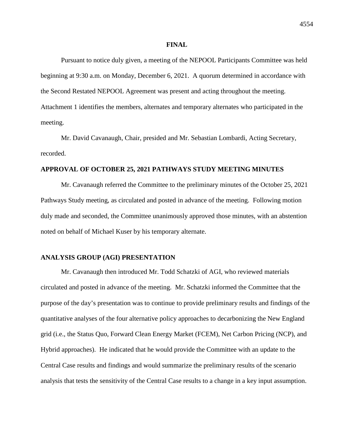#### **FINAL**

Pursuant to notice duly given, a meeting of the NEPOOL Participants Committee was held beginning at 9:30 a.m. on Monday, December 6, 2021. A quorum determined in accordance with the Second Restated NEPOOL Agreement was present and acting throughout the meeting. Attachment 1 identifies the members, alternates and temporary alternates who participated in the meeting.

Mr. David Cavanaugh, Chair, presided and Mr. Sebastian Lombardi, Acting Secretary, recorded.

### **APPROVAL OF OCTOBER 25, 2021 PATHWAYS STUDY MEETING MINUTES**

Mr. Cavanaugh referred the Committee to the preliminary minutes of the October 25, 2021 Pathways Study meeting, as circulated and posted in advance of the meeting. Following motion duly made and seconded, the Committee unanimously approved those minutes, with an abstention noted on behalf of Michael Kuser by his temporary alternate.

### **ANALYSIS GROUP (AGI) PRESENTATION**

Mr. Cavanaugh then introduced Mr. Todd Schatzki of AGI, who reviewed materials circulated and posted in advance of the meeting. Mr. Schatzki informed the Committee that the purpose of the day's presentation was to continue to provide preliminary results and findings of the quantitative analyses of the four alternative policy approaches to decarbonizing the New England grid (i.e., the Status Quo, Forward Clean Energy Market (FCEM), Net Carbon Pricing (NCP), and Hybrid approaches). He indicated that he would provide the Committee with an update to the Central Case results and findings and would summarize the preliminary results of the scenario analysis that tests the sensitivity of the Central Case results to a change in a key input assumption.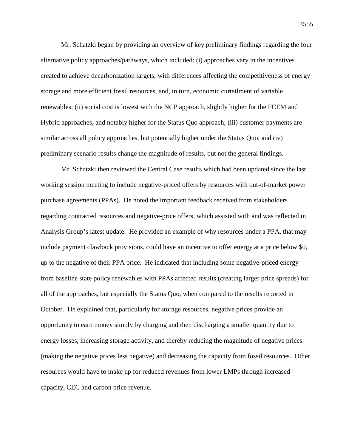Mr. Schatzki began by providing an overview of key preliminary findings regarding the four alternative policy approaches/pathways, which included: (i) approaches vary in the incentives created to achieve decarbonization targets, with differences affecting the competitiveness of energy storage and more efficient fossil resources, and, in turn, economic curtailment of variable renewables; (ii) social cost is lowest with the NCP approach, slightly higher for the FCEM and Hybrid approaches, and notably higher for the Status Quo approach; (iii) customer payments are similar across all policy approaches, but potentially higher under the Status Quo; and (iv) preliminary scenario results change the magnitude of results, but not the general findings.

Mr. Schatzki then reviewed the Central Case results which had been updated since the last working session meeting to include negative-priced offers by resources with out-of-market power purchase agreements (PPAs). He noted the important feedback received from stakeholders regarding contracted resources and negative-price offers, which assisted with and was reflected in Analysis Group's latest update. He provided an example of why resources under a PPA, that may include payment clawback provisions, could have an incentive to offer energy at a price below \$0, up to the negative of their PPA price. He indicated that including some negative-priced energy from baseline state policy renewables with PPAs affected results (creating larger price spreads) for all of the approaches, but especially the Status Quo, when compared to the results reported in October. He explained that, particularly for storage resources, negative prices provide an opportunity to earn money simply by charging and then discharging a smaller quantity due to energy losses, increasing storage activity, and thereby reducing the magnitude of negative prices (making the negative prices less negative) and decreasing the capacity from fossil resources. Other resources would have to make up for reduced revenues from lower LMPs through increased capacity, CEC and carbon price revenue.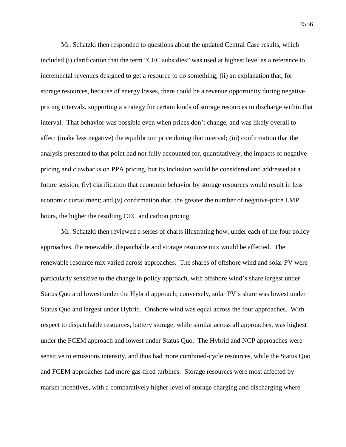Mr. Schatzki then responded to questions about the updated Central Case results, which included (i) clarification that the term "CEC subsidies" was used at highest level as a reference to incremental revenues designed to get a resource to do something; (ii) an explanation that, for storage resources, because of energy losses, there could be a revenue opportunity during negative pricing intervals, supporting a strategy for certain kinds of storage resources to discharge within that interval. That behavior was possible even when prices don't change, and was likely overall to affect (make less negative) the equilibrium price during that interval; (iii) confirmation that the analysis presented to that point had not fully accounted for, quantitatively, the impacts of negative pricing and clawbacks on PPA pricing, but its inclusion would be considered and addressed at a future session; (iv) clarification that economic behavior by storage resources would result in less economic curtailment; and (v) confirmation that, the greater the number of negative-price LMP hours, the higher the resulting CEC and carbon pricing.

Mr. Schatzki then reviewed a series of charts illustrating how, under each of the four policy approaches, the renewable, dispatchable and storage resource mix would be affected. The renewable resource mix varied across approaches. The shares of offshore wind and solar PV were particularly sensitive to the change in policy approach, with offshore wind's share largest under Status Quo and lowest under the Hybrid approach; conversely, solar PV's share was lowest under Status Quo and largest under Hybrid. Onshore wind was equal across the four approaches. With respect to dispatchable resources, battery storage, while similar across all approaches, was highest under the FCEM approach and lowest under Status Quo. The Hybrid and NCP approaches were sensitive to emissions intensity, and thus had more combined-cycle resources, while the Status Quo and FCEM approaches had more gas-fired turbines. Storage resources were most affected by market incentives, with a comparatively higher level of storage charging and discharging where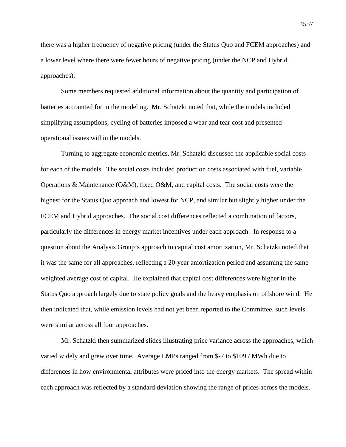there was a higher frequency of negative pricing (under the Status Quo and FCEM approaches) and a lower level where there were fewer hours of negative pricing (under the NCP and Hybrid approaches).

Some members requested additional information about the quantity and participation of batteries accounted for in the modeling. Mr. Schatzki noted that, while the models included simplifying assumptions, cycling of batteries imposed a wear and tear cost and presented operational issues within the models.

Turning to aggregate economic metrics, Mr. Schatzki discussed the applicable social costs for each of the models. The social costs included production costs associated with fuel, variable Operations & Maintenance (O&M), fixed O&M, and capital costs. The social costs were the highest for the Status Quo approach and lowest for NCP, and similar but slightly higher under the FCEM and Hybrid approaches. The social cost differences reflected a combination of factors, particularly the differences in energy market incentives under each approach. In response to a question about the Analysis Group's approach to capital cost amortization, Mr. Schatzki noted that it was the same for all approaches, reflecting a 20-year amortization period and assuming the same weighted average cost of capital. He explained that capital cost differences were higher in the Status Quo approach largely due to state policy goals and the heavy emphasis on offshore wind. He then indicated that, while emission levels had not yet been reported to the Committee, such levels were similar across all four approaches.

Mr. Schatzki then summarized slides illustrating price variance across the approaches, which varied widely and grew over time. Average LMPs ranged from \$-7 to \$109 / MWh due to differences in how environmental attributes were priced into the energy markets. The spread within each approach was reflected by a standard deviation showing the range of prices across the models.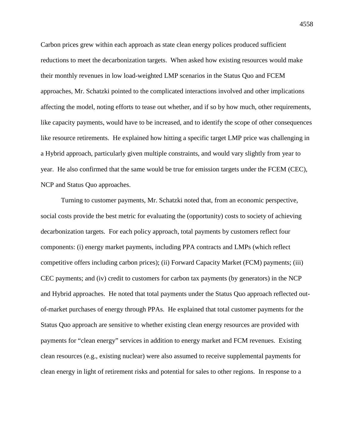Carbon prices grew within each approach as state clean energy polices produced sufficient reductions to meet the decarbonization targets. When asked how existing resources would make their monthly revenues in low load-weighted LMP scenarios in the Status Quo and FCEM approaches, Mr. Schatzki pointed to the complicated interactions involved and other implications affecting the model, noting efforts to tease out whether, and if so by how much, other requirements, like capacity payments, would have to be increased, and to identify the scope of other consequences like resource retirements. He explained how hitting a specific target LMP price was challenging in a Hybrid approach, particularly given multiple constraints, and would vary slightly from year to year. He also confirmed that the same would be true for emission targets under the FCEM (CEC), NCP and Status Quo approaches.

Turning to customer payments, Mr. Schatzki noted that, from an economic perspective, social costs provide the best metric for evaluating the (opportunity) costs to society of achieving decarbonization targets. For each policy approach, total payments by customers reflect four components: (i) energy market payments, including PPA contracts and LMPs (which reflect competitive offers including carbon prices); (ii) Forward Capacity Market (FCM) payments; (iii) CEC payments; and (iv) credit to customers for carbon tax payments (by generators) in the NCP and Hybrid approaches. He noted that total payments under the Status Quo approach reflected outof-market purchases of energy through PPAs. He explained that total customer payments for the Status Quo approach are sensitive to whether existing clean energy resources are provided with payments for "clean energy" services in addition to energy market and FCM revenues. Existing clean resources (e.g., existing nuclear) were also assumed to receive supplemental payments for clean energy in light of retirement risks and potential for sales to other regions. In response to a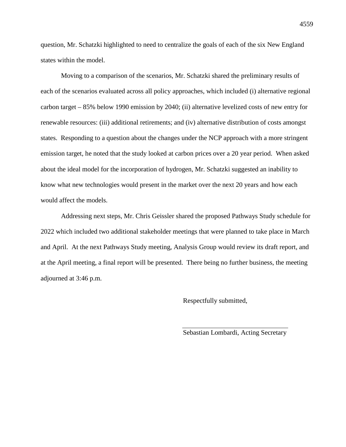question, Mr. Schatzki highlighted to need to centralize the goals of each of the six New England states within the model.

Moving to a comparison of the scenarios, Mr. Schatzki shared the preliminary results of each of the scenarios evaluated across all policy approaches, which included (i) alternative regional carbon target – 85% below 1990 emission by 2040; (ii) alternative levelized costs of new entry for renewable resources: (iii) additional retirements; and (iv) alternative distribution of costs amongst states. Responding to a question about the changes under the NCP approach with a more stringent emission target, he noted that the study looked at carbon prices over a 20 year period. When asked about the ideal model for the incorporation of hydrogen, Mr. Schatzki suggested an inability to know what new technologies would present in the market over the next 20 years and how each would affect the models.

Addressing next steps, Mr. Chris Geissler shared the proposed Pathways Study schedule for 2022 which included two additional stakeholder meetings that were planned to take place in March and April. At the next Pathways Study meeting, Analysis Group would review its draft report, and at the April meeting, a final report will be presented. There being no further business, the meeting adjourned at 3:46 p.m.

Respectfully submitted,

Sebastian Lombardi, Acting Secretary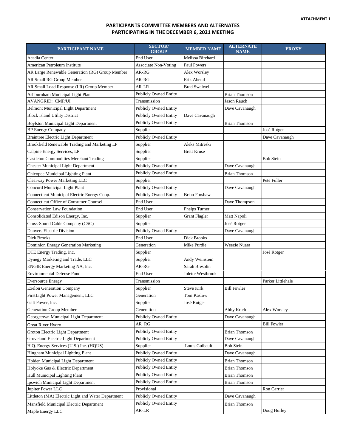# **PARTICIPANTS COMMITTEE MEMBERS AND ALTERNATES PARTICIPATING IN THE DECEMBER 6, 2021 MEETING**

| PARTICIPANT NAME                                   | <b>SECTOR</b> /<br><b>GROUP</b> | <b>MEMBER NAME</b>   | <b>ALTERNATE</b><br><b>NAME</b> | <b>PROXY</b>       |
|----------------------------------------------------|---------------------------------|----------------------|---------------------------------|--------------------|
| Acadia Center                                      | End User                        | Melissa Birchard     |                                 |                    |
| American Petroleum Institute                       | <b>Associate Non-Voting</b>     | <b>Paul Powers</b>   |                                 |                    |
| AR Large Renewable Generation (RG) Group Member    | AR-RG                           | Alex Worsley         |                                 |                    |
| AR Small RG Group Member                           | AR-RG                           | Erik Abend           |                                 |                    |
| AR Small Load Response (LR) Group Member           | AR-LR                           | <b>Brad Swalwell</b> |                                 |                    |
| Ashburnham Municipal Light Plant                   | <b>Publicly Owned Entity</b>    |                      | <b>Brian Thomson</b>            |                    |
| <b>AVANGRID: CMP/UI</b>                            | Transmission                    |                      | <b>Jason Rauch</b>              |                    |
| <b>Belmont Municipal Light Department</b>          | <b>Publicly Owned Entity</b>    |                      | Dave Cavanaugh                  |                    |
| <b>Block Island Utility District</b>               | <b>Publicly Owned Entity</b>    | Dave Cavanaugh       |                                 |                    |
| <b>Boylston Municipal Light Department</b>         | <b>Publicly Owned Entity</b>    |                      | <b>Brian Thomson</b>            |                    |
| <b>BP</b> Energy Company                           | Supplier                        |                      |                                 | José Rotger        |
| <b>Braintree Electric Light Department</b>         | <b>Publicly Owned Entity</b>    |                      |                                 | Dave Cavanaugh     |
| Brookfield Renewable Trading and Marketing LP      | Supplier                        | Aleks Mitreski       |                                 |                    |
| Calpine Energy Services, LP                        | Supplier                        | <b>Brett Kruse</b>   |                                 |                    |
| <b>Castleton Commodities Merchant Trading</b>      | Supplier                        |                      |                                 | <b>Bob Stein</b>   |
| Chester Municipal Light Department                 | <b>Publicly Owned Entity</b>    |                      | Dave Cavanaugh                  |                    |
| Chicopee Municipal Lighting Plant                  | <b>Publicly Owned Entity</b>    |                      | <b>Brian Thomson</b>            |                    |
| Clearway Power Marketing LLC                       | Supplier                        |                      |                                 | Pete Fuller        |
| Concord Municipal Light Plant                      | <b>Publicly Owned Entity</b>    |                      | Dave Cavanaugh                  |                    |
| Connecticut Municipal Electric Energy Coop.        | <b>Publicly Owned Entity</b>    | <b>Brian Forshaw</b> |                                 |                    |
| <b>Connecticut Office of Consumer Counsel</b>      | End User                        |                      | Dave Thompson                   |                    |
| <b>Conservation Law Foundation</b>                 | End User                        | Phelps Turner        |                                 |                    |
| Consolidated Edison Energy, Inc.                   | Supplier                        | <b>Grant Flagler</b> | Matt Napoli                     |                    |
| Cross-Sound Cable Company (CSC)                    | Supplier                        |                      | José Rotger                     |                    |
| Danvers Electric Division                          | <b>Publicly Owned Entity</b>    |                      | Dave Cavanaugh                  |                    |
| Dick Brooks                                        | End User                        | <b>Dick Brooks</b>   |                                 |                    |
| Dominion Energy Generation Marketing               | Generation                      | Mike Purdie          | Weezie Nuara                    |                    |
| DTE Energy Trading, Inc.                           | Supplier                        |                      |                                 | José Rotger        |
| Dynegy Marketing and Trade, LLC                    | Supplier                        | Andy Weinstein       |                                 |                    |
| ENGIE Energy Marketing NA, Inc.                    | AR-RG                           | Sarah Bresolin       |                                 |                    |
| <b>Environmental Defense Fund</b>                  | End User                        | Jolette Westbrook    |                                 |                    |
| <b>Eversource Energy</b>                           | Transmission                    |                      |                                 | Parker Littlehale  |
| <b>Exelon Generation Company</b>                   | Supplier                        | <b>Steve Kirk</b>    | <b>Bill Fowler</b>              |                    |
| FirstLight Power Management, LLC                   | Generation                      | Tom Kaslow           |                                 |                    |
| Galt Power, Inc.                                   | Supplier                        | José Rotger          |                                 |                    |
| Generation Group Member                            | Generation                      |                      | Abby Krich                      | Alex Worsley       |
| Georgetown Municipal Light Department              | <b>Publicly Owned Entity</b>    |                      | Dave Cavanaugh                  |                    |
| Great River Hydro                                  | AR_RG                           |                      |                                 | <b>Bill Fowler</b> |
| Groton Electric Light Department                   | <b>Publicly Owned Entity</b>    |                      | <b>Brian Thomson</b>            |                    |
| Groveland Electric Light Department                | <b>Publicly Owned Entity</b>    |                      | Dave Cavanaugh                  |                    |
| H.Q. Energy Services (U.S.) Inc. (HQUS)            | Supplier                        | Louis Guibault       | <b>Bob Stein</b>                |                    |
| Hingham Municipal Lighting Plant                   | <b>Publicly Owned Entity</b>    |                      | Dave Cavanaugh                  |                    |
| Holden Municipal Light Department                  | <b>Publicly Owned Entity</b>    |                      | <b>Brian Thomson</b>            |                    |
| Holyoke Gas & Electric Department                  | <b>Publicly Owned Entity</b>    |                      | <b>Brian Thomson</b>            |                    |
| Hull Municipal Lighting Plant                      | <b>Publicly Owned Entity</b>    |                      | <b>Brian Thomson</b>            |                    |
| Ipswich Municipal Light Department                 | <b>Publicly Owned Entity</b>    |                      | <b>Brian Thomson</b>            |                    |
| Jupiter Power LLC                                  | Provisional                     |                      |                                 | Ron Carrier        |
| Littleton (MA) Electric Light and Water Department | <b>Publicly Owned Entity</b>    |                      | Dave Cavanaugh                  |                    |
| Mansfield Municipal Electric Department            | <b>Publicly Owned Entity</b>    |                      | <b>Brian Thomson</b>            |                    |
| Maple Energy LLC                                   | AR-LR                           |                      |                                 | Doug Hurley        |